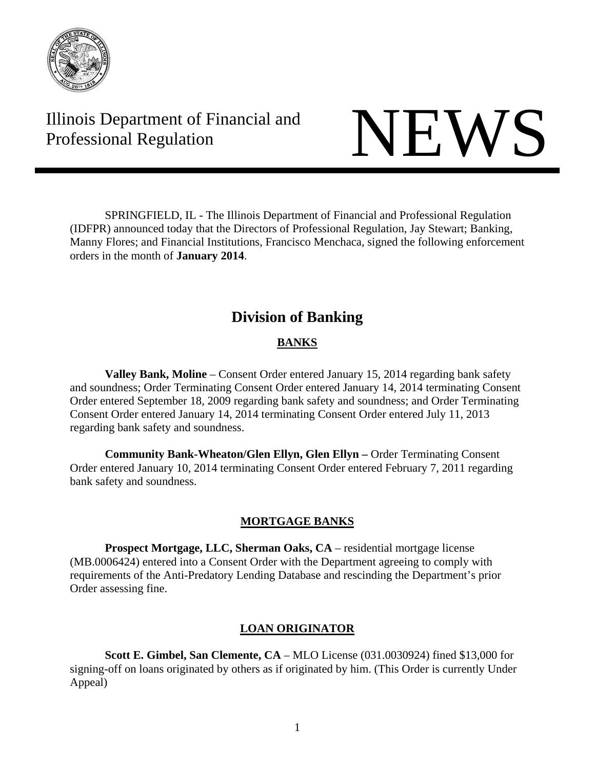

Illinois Department of Financial and Illinois Department of Financial and<br>Professional Regulation NEWS

 SPRINGFIELD, IL - The Illinois Department of Financial and Professional Regulation (IDFPR) announced today that the Directors of Professional Regulation, Jay Stewart; Banking, Manny Flores; and Financial Institutions, Francisco Menchaca, signed the following enforcement orders in the month of **January 2014**.

# **Division of Banking**

# **BANKS**

 **Valley Bank, Moline** – Consent Order entered January 15, 2014 regarding bank safety and soundness; Order Terminating Consent Order entered January 14, 2014 terminating Consent Order entered September 18, 2009 regarding bank safety and soundness; and Order Terminating Consent Order entered January 14, 2014 terminating Consent Order entered July 11, 2013 regarding bank safety and soundness.

**Community Bank-Wheaton/Glen Ellyn, Glen Ellyn – Order Terminating Consent** Order entered January 10, 2014 terminating Consent Order entered February 7, 2011 regarding bank safety and soundness.

# **MORTGAGE BANKS**

 **Prospect Mortgage, LLC, Sherman Oaks, CA** – residential mortgage license (MB.0006424) entered into a Consent Order with the Department agreeing to comply with requirements of the Anti-Predatory Lending Database and rescinding the Department's prior Order assessing fine.

# **LOAN ORIGINATOR**

 **Scott E. Gimbel, San Clemente, CA** – MLO License (031.0030924) fined \$13,000 for signing-off on loans originated by others as if originated by him. (This Order is currently Under Appeal)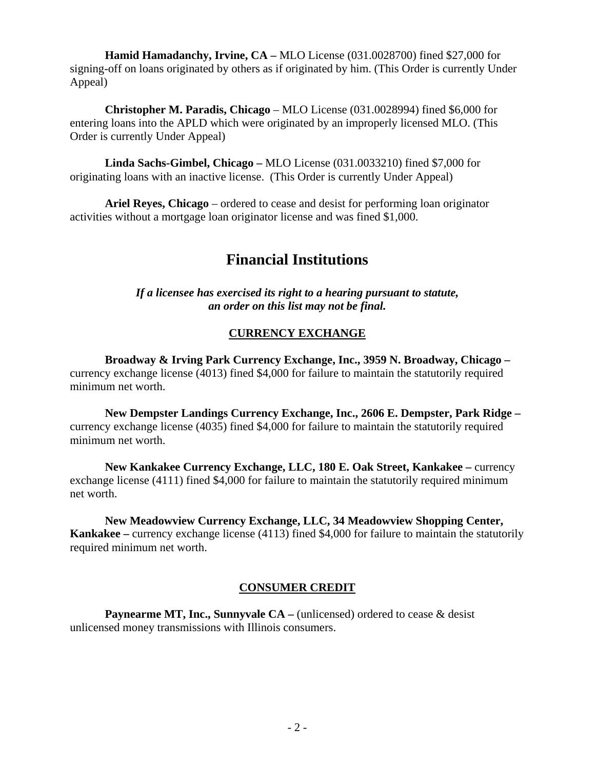**Hamid Hamadanchy, Irvine, CA –** MLO License (031.0028700) fined \$27,000 for signing-off on loans originated by others as if originated by him. (This Order is currently Under Appeal)

 **Christopher M. Paradis, Chicago** – MLO License (031.0028994) fined \$6,000 for entering loans into the APLD which were originated by an improperly licensed MLO. (This Order is currently Under Appeal)

 **Linda Sachs-Gimbel, Chicago –** MLO License (031.0033210) fined \$7,000 for originating loans with an inactive license. (This Order is currently Under Appeal)

 **Ariel Reyes, Chicago** – ordered to cease and desist for performing loan originator activities without a mortgage loan originator license and was fined \$1,000.

# **Financial Institutions**

*If a licensee has exercised its right to a hearing pursuant to statute, an order on this list may not be final.* 

# **CURRENCY EXCHANGE**

**Broadway & Irving Park Currency Exchange, Inc., 3959 N. Broadway, Chicago –**  currency exchange license (4013) fined \$4,000 for failure to maintain the statutorily required minimum net worth.

**New Dempster Landings Currency Exchange, Inc., 2606 E. Dempster, Park Ridge –** currency exchange license (4035) fined \$4,000 for failure to maintain the statutorily required minimum net worth.

**New Kankakee Currency Exchange, LLC, 180 E. Oak Street, Kankakee –** currency exchange license (4111) fined \$4,000 for failure to maintain the statutorily required minimum net worth.

**New Meadowview Currency Exchange, LLC, 34 Meadowview Shopping Center, Kankakee** – currency exchange license (4113) fined \$4,000 for failure to maintain the statutorily required minimum net worth.

# **CONSUMER CREDIT**

**Paynearme MT, Inc., Sunnyvale CA** – (unlicensed) ordered to cease & desist unlicensed money transmissions with Illinois consumers.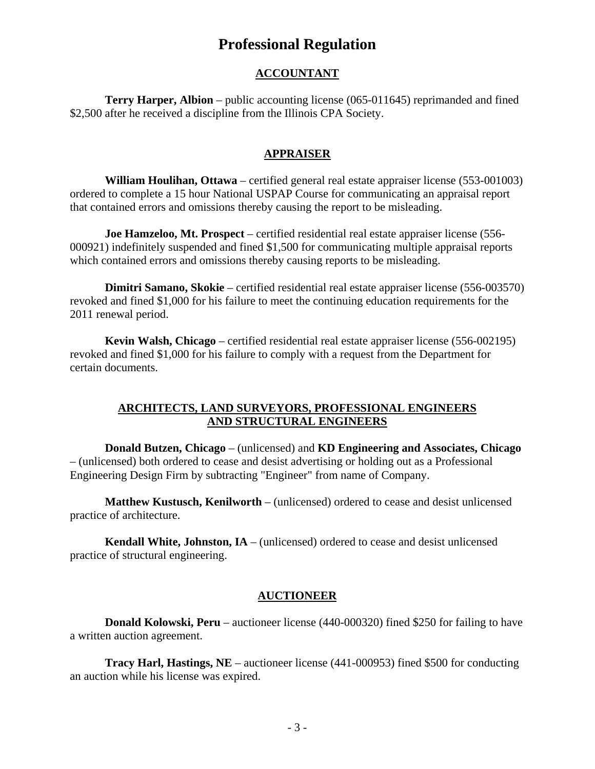# **Professional Regulation**

### **ACCOUNTANT**

**Terry Harper, Albion** – public accounting license (065-011645) reprimanded and fined \$2,500 after he received a discipline from the Illinois CPA Society.

#### **APPRAISER**

**William Houlihan, Ottawa** – certified general real estate appraiser license (553-001003) ordered to complete a 15 hour National USPAP Course for communicating an appraisal report that contained errors and omissions thereby causing the report to be misleading.

**Joe Hamzeloo, Mt. Prospect** – certified residential real estate appraiser license (556- 000921) indefinitely suspended and fined \$1,500 for communicating multiple appraisal reports which contained errors and omissions thereby causing reports to be misleading.

**Dimitri Samano, Skokie** – certified residential real estate appraiser license (556-003570) revoked and fined \$1,000 for his failure to meet the continuing education requirements for the 2011 renewal period.

**Kevin Walsh, Chicago** – certified residential real estate appraiser license (556-002195) revoked and fined \$1,000 for his failure to comply with a request from the Department for certain documents.

#### **ARCHITECTS, LAND SURVEYORS, PROFESSIONAL ENGINEERS AND STRUCTURAL ENGINEERS**

**Donald Butzen, Chicago** – (unlicensed) and **KD Engineering and Associates, Chicago** – (unlicensed) both ordered to cease and desist advertising or holding out as a Professional Engineering Design Firm by subtracting "Engineer" from name of Company.

**Matthew Kustusch, Kenilworth** – (unlicensed) ordered to cease and desist unlicensed practice of architecture.

**Kendall White, Johnston, IA** – (unlicensed) ordered to cease and desist unlicensed practice of structural engineering.

#### **AUCTIONEER**

**Donald Kolowski, Peru** – auctioneer license (440-000320) fined \$250 for failing to have a written auction agreement.

**Tracy Harl, Hastings, NE** – auctioneer license (441-000953) fined \$500 for conducting an auction while his license was expired.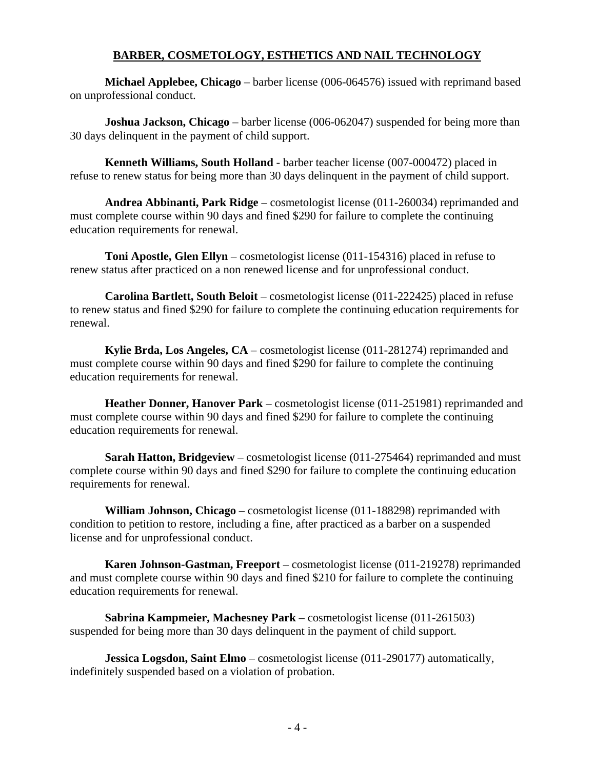# **BARBER, COSMETOLOGY, ESTHETICS AND NAIL TECHNOLOGY**

**Michael Applebee, Chicago** – barber license (006-064576) issued with reprimand based on unprofessional conduct.

**Joshua Jackson, Chicago** – barber license (006-062047) suspended for being more than 30 days delinquent in the payment of child support.

**Kenneth Williams, South Holland** - barber teacher license (007-000472) placed in refuse to renew status for being more than 30 days delinquent in the payment of child support.

**Andrea Abbinanti, Park Ridge** – cosmetologist license (011-260034) reprimanded and must complete course within 90 days and fined \$290 for failure to complete the continuing education requirements for renewal.

**Toni Apostle, Glen Ellyn** – cosmetologist license (011-154316) placed in refuse to renew status after practiced on a non renewed license and for unprofessional conduct.

**Carolina Bartlett, South Beloit** – cosmetologist license (011-222425) placed in refuse to renew status and fined \$290 for failure to complete the continuing education requirements for renewal.

**Kylie Brda, Los Angeles, CA** – cosmetologist license (011-281274) reprimanded and must complete course within 90 days and fined \$290 for failure to complete the continuing education requirements for renewal.

**Heather Donner, Hanover Park** – cosmetologist license (011-251981) reprimanded and must complete course within 90 days and fined \$290 for failure to complete the continuing education requirements for renewal.

**Sarah Hatton, Bridgeview** – cosmetologist license (011-275464) reprimanded and must complete course within 90 days and fined \$290 for failure to complete the continuing education requirements for renewal.

**William Johnson, Chicago** – cosmetologist license (011-188298) reprimanded with condition to petition to restore, including a fine, after practiced as a barber on a suspended license and for unprofessional conduct.

**Karen Johnson-Gastman, Freeport** – cosmetologist license (011-219278) reprimanded and must complete course within 90 days and fined \$210 for failure to complete the continuing education requirements for renewal.

**Sabrina Kampmeier, Machesney Park** – cosmetologist license (011-261503) suspended for being more than 30 days delinquent in the payment of child support.

**Jessica Logsdon, Saint Elmo** – cosmetologist license (011-290177) automatically, indefinitely suspended based on a violation of probation.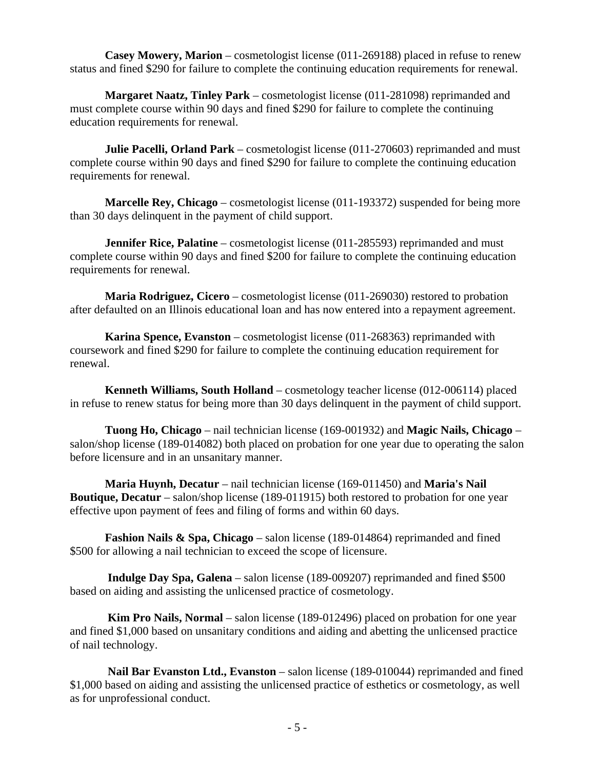**Casey Mowery, Marion** – cosmetologist license (011-269188) placed in refuse to renew status and fined \$290 for failure to complete the continuing education requirements for renewal.

**Margaret Naatz, Tinley Park** – cosmetologist license (011-281098) reprimanded and must complete course within 90 days and fined \$290 for failure to complete the continuing education requirements for renewal.

**Julie Pacelli, Orland Park** – cosmetologist license (011-270603) reprimanded and must complete course within 90 days and fined \$290 for failure to complete the continuing education requirements for renewal.

**Marcelle Rey, Chicago** – cosmetologist license (011-193372) suspended for being more than 30 days delinquent in the payment of child support.

**Jennifer Rice, Palatine** – cosmetologist license (011-285593) reprimanded and must complete course within 90 days and fined \$200 for failure to complete the continuing education requirements for renewal.

**Maria Rodriguez, Cicero** – cosmetologist license (011-269030) restored to probation after defaulted on an Illinois educational loan and has now entered into a repayment agreement.

**Karina Spence, Evanston** – cosmetologist license (011-268363) reprimanded with coursework and fined \$290 for failure to complete the continuing education requirement for renewal.

**Kenneth Williams, South Holland** – cosmetology teacher license (012-006114) placed in refuse to renew status for being more than 30 days delinquent in the payment of child support.

**Tuong Ho, Chicago** – nail technician license (169-001932) and **Magic Nails, Chicago** – salon/shop license (189-014082) both placed on probation for one year due to operating the salon before licensure and in an unsanitary manner.

**Maria Huynh, Decatur** – nail technician license (169-011450) and **Maria's Nail Boutique, Decatur** – salon/shop license (189-011915) both restored to probation for one year effective upon payment of fees and filing of forms and within 60 days.

**Fashion Nails & Spa, Chicago** – salon license (189-014864) reprimanded and fined \$500 for allowing a nail technician to exceed the scope of licensure.

 **Indulge Day Spa, Galena** – salon license (189-009207) reprimanded and fined \$500 based on aiding and assisting the unlicensed practice of cosmetology.

 **Kim Pro Nails, Normal** – salon license (189-012496) placed on probation for one year and fined \$1,000 based on unsanitary conditions and aiding and abetting the unlicensed practice of nail technology.

 **Nail Bar Evanston Ltd., Evanston** – salon license (189-010044) reprimanded and fined \$1,000 based on aiding and assisting the unlicensed practice of esthetics or cosmetology, as well as for unprofessional conduct.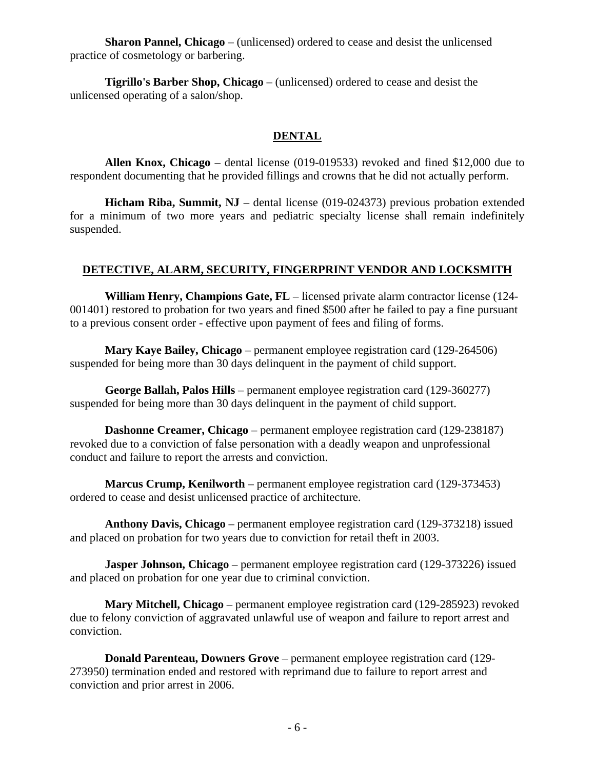**Sharon Pannel, Chicago** – (unlicensed) ordered to cease and desist the unlicensed practice of cosmetology or barbering.

**Tigrillo's Barber Shop, Chicago** – (unlicensed) ordered to cease and desist the unlicensed operating of a salon/shop.

# **DENTAL**

**Allen Knox, Chicago** – dental license (019-019533) revoked and fined \$12,000 due to respondent documenting that he provided fillings and crowns that he did not actually perform.

**Hicham Riba, Summit, NJ** – dental license (019-024373) previous probation extended for a minimum of two more years and pediatric specialty license shall remain indefinitely suspended.

#### **DETECTIVE, ALARM, SECURITY, FINGERPRINT VENDOR AND LOCKSMITH**

**William Henry, Champions Gate, FL** – licensed private alarm contractor license (124- 001401) restored to probation for two years and fined \$500 after he failed to pay a fine pursuant to a previous consent order - effective upon payment of fees and filing of forms.

**Mary Kaye Bailey, Chicago** – permanent employee registration card (129-264506) suspended for being more than 30 days delinquent in the payment of child support.

**George Ballah, Palos Hills** – permanent employee registration card (129-360277) suspended for being more than 30 days delinquent in the payment of child support.

**Dashonne Creamer, Chicago** – permanent employee registration card (129-238187) revoked due to a conviction of false personation with a deadly weapon and unprofessional conduct and failure to report the arrests and conviction.

**Marcus Crump, Kenilworth** – permanent employee registration card (129-373453) ordered to cease and desist unlicensed practice of architecture.

**Anthony Davis, Chicago** – permanent employee registration card (129-373218) issued and placed on probation for two years due to conviction for retail theft in 2003.

**Jasper Johnson, Chicago** – permanent employee registration card (129-373226) issued and placed on probation for one year due to criminal conviction.

**Mary Mitchell, Chicago** – permanent employee registration card (129-285923) revoked due to felony conviction of aggravated unlawful use of weapon and failure to report arrest and conviction.

**Donald Parenteau, Downers Grove** – permanent employee registration card (129- 273950) termination ended and restored with reprimand due to failure to report arrest and conviction and prior arrest in 2006.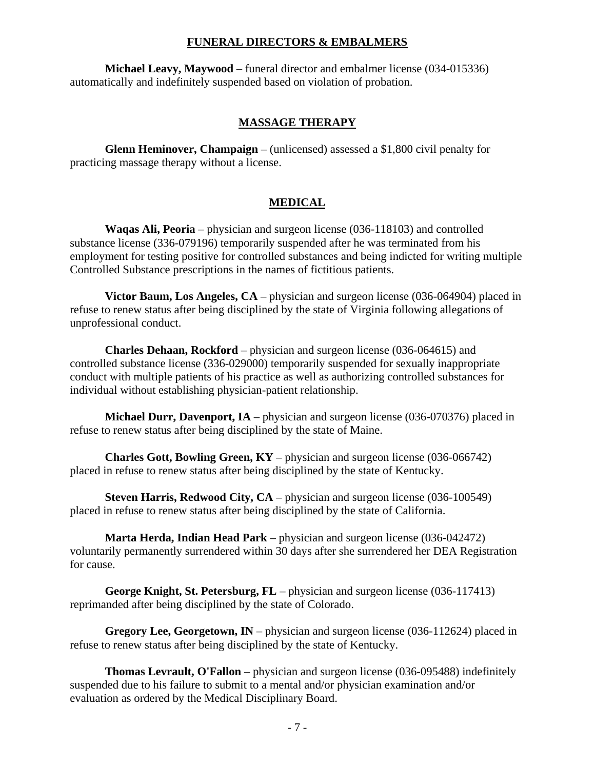#### **FUNERAL DIRECTORS & EMBALMERS**

**Michael Leavy, Maywood** – funeral director and embalmer license (034-015336) automatically and indefinitely suspended based on violation of probation.

#### **MASSAGE THERAPY**

**Glenn Heminover, Champaign** – (unlicensed) assessed a \$1,800 civil penalty for practicing massage therapy without a license.

#### **MEDICAL**

**Waqas Ali, Peoria** – physician and surgeon license (036-118103) and controlled substance license (336-079196) temporarily suspended after he was terminated from his employment for testing positive for controlled substances and being indicted for writing multiple Controlled Substance prescriptions in the names of fictitious patients.

**Victor Baum, Los Angeles, CA** – physician and surgeon license (036-064904) placed in refuse to renew status after being disciplined by the state of Virginia following allegations of unprofessional conduct.

**Charles Dehaan, Rockford** – physician and surgeon license (036-064615) and controlled substance license (336-029000) temporarily suspended for sexually inappropriate conduct with multiple patients of his practice as well as authorizing controlled substances for individual without establishing physician-patient relationship.

**Michael Durr, Davenport, IA** – physician and surgeon license (036-070376) placed in refuse to renew status after being disciplined by the state of Maine.

**Charles Gott, Bowling Green, KY** – physician and surgeon license (036-066742) placed in refuse to renew status after being disciplined by the state of Kentucky.

**Steven Harris, Redwood City, CA** – physician and surgeon license (036-100549) placed in refuse to renew status after being disciplined by the state of California.

**Marta Herda, Indian Head Park** – physician and surgeon license (036-042472) voluntarily permanently surrendered within 30 days after she surrendered her DEA Registration for cause.

**George Knight, St. Petersburg, FL** – physician and surgeon license (036-117413) reprimanded after being disciplined by the state of Colorado.

**Gregory Lee, Georgetown, IN** – physician and surgeon license (036-112624) placed in refuse to renew status after being disciplined by the state of Kentucky.

**Thomas Levrault, O'Fallon** – physician and surgeon license (036-095488) indefinitely suspended due to his failure to submit to a mental and/or physician examination and/or evaluation as ordered by the Medical Disciplinary Board.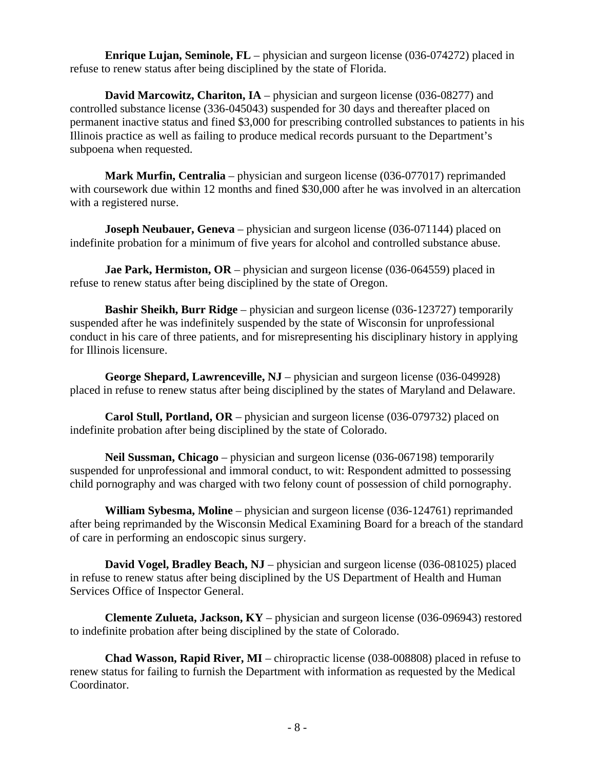**Enrique Lujan, Seminole, FL** – physician and surgeon license (036-074272) placed in refuse to renew status after being disciplined by the state of Florida.

**David Marcowitz, Chariton, IA** – physician and surgeon license (036-08277) and controlled substance license (336-045043) suspended for 30 days and thereafter placed on permanent inactive status and fined \$3,000 for prescribing controlled substances to patients in his Illinois practice as well as failing to produce medical records pursuant to the Department's subpoena when requested.

**Mark Murfin, Centralia** – physician and surgeon license (036-077017) reprimanded with coursework due within 12 months and fined \$30,000 after he was involved in an altercation with a registered nurse.

**Joseph Neubauer, Geneva** – physician and surgeon license (036-071144) placed on indefinite probation for a minimum of five years for alcohol and controlled substance abuse.

**Jae Park, Hermiston, OR** – physician and surgeon license (036-064559) placed in refuse to renew status after being disciplined by the state of Oregon.

**Bashir Sheikh, Burr Ridge** – physician and surgeon license (036-123727) temporarily suspended after he was indefinitely suspended by the state of Wisconsin for unprofessional conduct in his care of three patients, and for misrepresenting his disciplinary history in applying for Illinois licensure.

**George Shepard, Lawrenceville, NJ** – physician and surgeon license (036-049928) placed in refuse to renew status after being disciplined by the states of Maryland and Delaware.

**Carol Stull, Portland, OR** – physician and surgeon license (036-079732) placed on indefinite probation after being disciplined by the state of Colorado.

**Neil Sussman, Chicago** – physician and surgeon license (036-067198) temporarily suspended for unprofessional and immoral conduct, to wit: Respondent admitted to possessing child pornography and was charged with two felony count of possession of child pornography.

**William Sybesma, Moline** – physician and surgeon license (036-124761) reprimanded after being reprimanded by the Wisconsin Medical Examining Board for a breach of the standard of care in performing an endoscopic sinus surgery.

**David Vogel, Bradley Beach, NJ** – physician and surgeon license (036-081025) placed in refuse to renew status after being disciplined by the US Department of Health and Human Services Office of Inspector General.

**Clemente Zulueta, Jackson, KY** – physician and surgeon license (036-096943) restored to indefinite probation after being disciplined by the state of Colorado.

**Chad Wasson, Rapid River, MI** – chiropractic license (038-008808) placed in refuse to renew status for failing to furnish the Department with information as requested by the Medical Coordinator.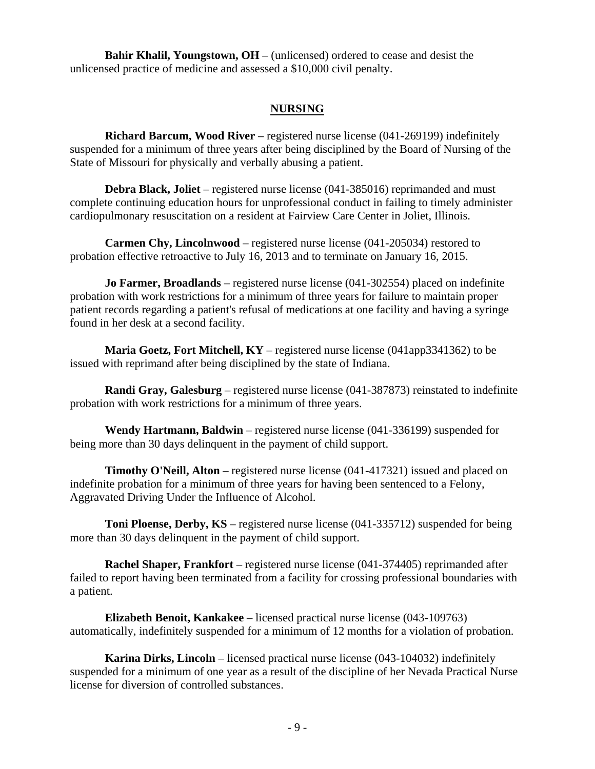**Bahir Khalil, Youngstown, OH** – (unlicensed) ordered to cease and desist the unlicensed practice of medicine and assessed a \$10,000 civil penalty.

#### **NURSING**

**Richard Barcum, Wood River** – registered nurse license (041-269199) indefinitely suspended for a minimum of three years after being disciplined by the Board of Nursing of the State of Missouri for physically and verbally abusing a patient.

**Debra Black, Joliet** – registered nurse license (041-385016) reprimanded and must complete continuing education hours for unprofessional conduct in failing to timely administer cardiopulmonary resuscitation on a resident at Fairview Care Center in Joliet, Illinois.

**Carmen Chy, Lincolnwood** – registered nurse license (041-205034) restored to probation effective retroactive to July 16, 2013 and to terminate on January 16, 2015.

**Jo Farmer, Broadlands** – registered nurse license (041-302554) placed on indefinite probation with work restrictions for a minimum of three years for failure to maintain proper patient records regarding a patient's refusal of medications at one facility and having a syringe found in her desk at a second facility.

**Maria Goetz, Fort Mitchell, KY** – registered nurse license (041app3341362) to be issued with reprimand after being disciplined by the state of Indiana.

**Randi Gray, Galesburg** – registered nurse license (041-387873) reinstated to indefinite probation with work restrictions for a minimum of three years.

**Wendy Hartmann, Baldwin** – registered nurse license (041-336199) suspended for being more than 30 days delinquent in the payment of child support.

**Timothy O'Neill, Alton** – registered nurse license (041-417321) issued and placed on indefinite probation for a minimum of three years for having been sentenced to a Felony, Aggravated Driving Under the Influence of Alcohol.

**Toni Ploense, Derby, KS** – registered nurse license (041-335712) suspended for being more than 30 days delinquent in the payment of child support.

**Rachel Shaper, Frankfort** – registered nurse license (041-374405) reprimanded after failed to report having been terminated from a facility for crossing professional boundaries with a patient.

**Elizabeth Benoit, Kankakee** – licensed practical nurse license (043-109763) automatically, indefinitely suspended for a minimum of 12 months for a violation of probation.

**Karina Dirks, Lincoln** – licensed practical nurse license (043-104032) indefinitely suspended for a minimum of one year as a result of the discipline of her Nevada Practical Nurse license for diversion of controlled substances.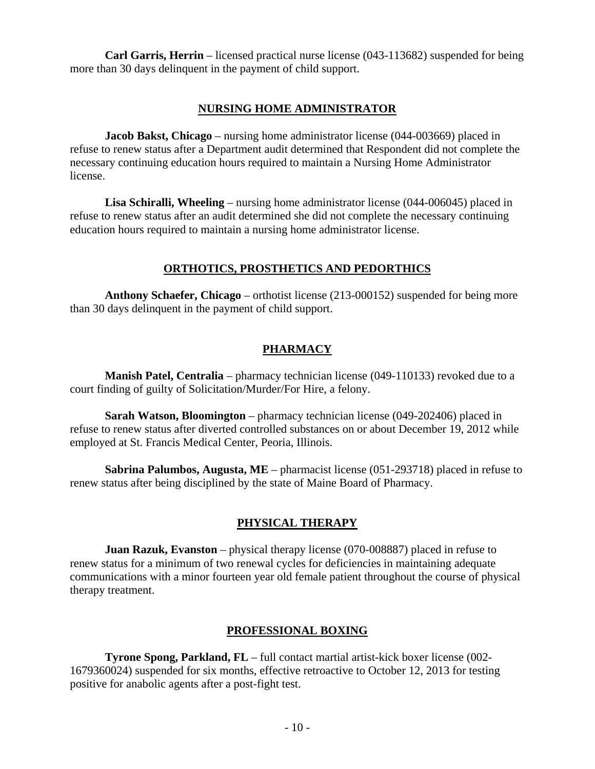**Carl Garris, Herrin** – licensed practical nurse license (043-113682) suspended for being more than 30 days delinquent in the payment of child support.

#### **NURSING HOME ADMINISTRATOR**

**Jacob Bakst, Chicago** – nursing home administrator license (044-003669) placed in refuse to renew status after a Department audit determined that Respondent did not complete the necessary continuing education hours required to maintain a Nursing Home Administrator license.

**Lisa Schiralli, Wheeling** – nursing home administrator license (044-006045) placed in refuse to renew status after an audit determined she did not complete the necessary continuing education hours required to maintain a nursing home administrator license.

#### **ORTHOTICS, PROSTHETICS AND PEDORTHICS**

**Anthony Schaefer, Chicago** – orthotist license (213-000152) suspended for being more than 30 days delinquent in the payment of child support.

# **PHARMACY**

**Manish Patel, Centralia** – pharmacy technician license (049-110133) revoked due to a court finding of guilty of Solicitation/Murder/For Hire, a felony.

**Sarah Watson, Bloomington** – pharmacy technician license (049-202406) placed in refuse to renew status after diverted controlled substances on or about December 19, 2012 while employed at St. Francis Medical Center, Peoria, Illinois.

**Sabrina Palumbos, Augusta, ME** – pharmacist license (051-293718) placed in refuse to renew status after being disciplined by the state of Maine Board of Pharmacy.

# **PHYSICAL THERAPY**

**Juan Razuk, Evanston** – physical therapy license (070-008887) placed in refuse to renew status for a minimum of two renewal cycles for deficiencies in maintaining adequate communications with a minor fourteen year old female patient throughout the course of physical therapy treatment.

# **PROFESSIONAL BOXING**

**Tyrone Spong, Parkland, FL** – full contact martial artist-kick boxer license (002- 1679360024) suspended for six months, effective retroactive to October 12, 2013 for testing positive for anabolic agents after a post-fight test.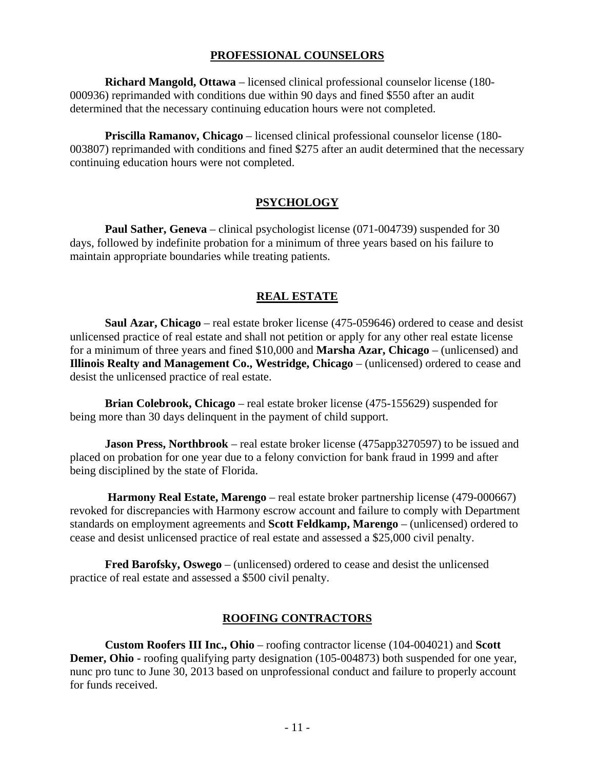#### **PROFESSIONAL COUNSELORS**

**Richard Mangold, Ottawa** – licensed clinical professional counselor license (180- 000936) reprimanded with conditions due within 90 days and fined \$550 after an audit determined that the necessary continuing education hours were not completed.

**Priscilla Ramanov, Chicago** – licensed clinical professional counselor license (180- 003807) reprimanded with conditions and fined \$275 after an audit determined that the necessary continuing education hours were not completed.

#### **PSYCHOLOGY**

**Paul Sather, Geneva** – clinical psychologist license (071-004739) suspended for 30 days, followed by indefinite probation for a minimum of three years based on his failure to maintain appropriate boundaries while treating patients.

#### **REAL ESTATE**

**Saul Azar, Chicago** – real estate broker license (475-059646) ordered to cease and desist unlicensed practice of real estate and shall not petition or apply for any other real estate license for a minimum of three years and fined \$10,000 and **Marsha Azar, Chicago** – (unlicensed) and **Illinois Realty and Management Co., Westridge, Chicago** – (unlicensed) ordered to cease and desist the unlicensed practice of real estate.

**Brian Colebrook, Chicago** – real estate broker license (475-155629) suspended for being more than 30 days delinquent in the payment of child support.

**Jason Press, Northbrook** – real estate broker license (475app3270597) to be issued and placed on probation for one year due to a felony conviction for bank fraud in 1999 and after being disciplined by the state of Florida.

 **Harmony Real Estate, Marengo** – real estate broker partnership license (479-000667) revoked for discrepancies with Harmony escrow account and failure to comply with Department standards on employment agreements and **Scott Feldkamp, Marengo** – (unlicensed) ordered to cease and desist unlicensed practice of real estate and assessed a \$25,000 civil penalty.

**Fred Barofsky, Oswego** – (unlicensed) ordered to cease and desist the unlicensed practice of real estate and assessed a \$500 civil penalty.

#### **ROOFING CONTRACTORS**

**Custom Roofers III Inc., Ohio** – roofing contractor license (104-004021) and **Scott Demer, Ohio -** roofing qualifying party designation (105-004873) both suspended for one year, nunc pro tunc to June 30, 2013 based on unprofessional conduct and failure to properly account for funds received.